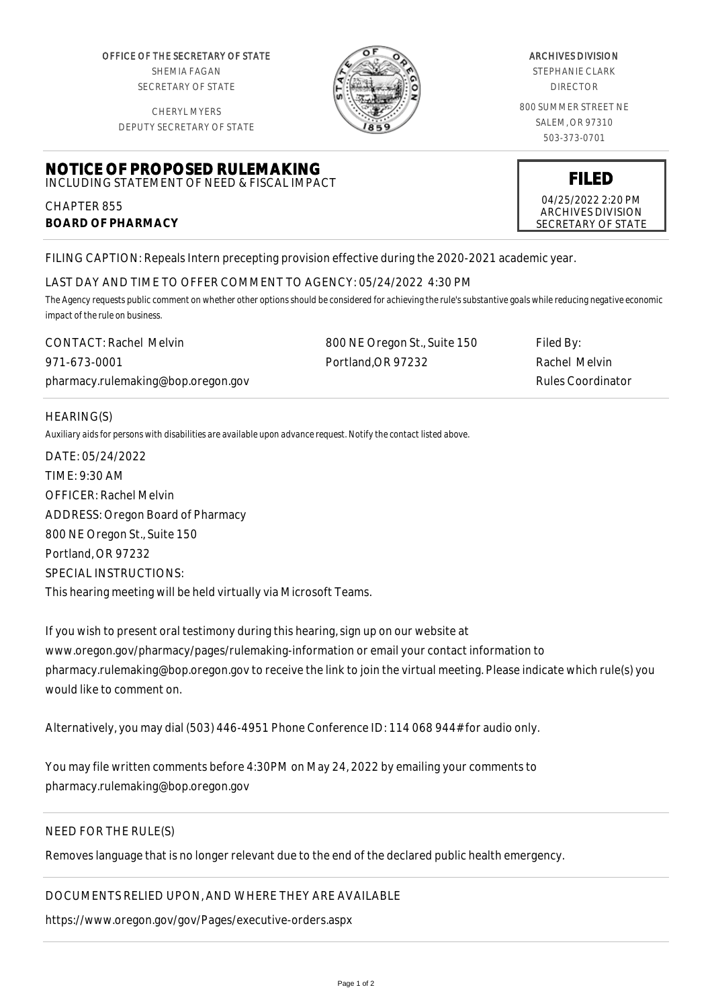OFFICE OF THE SECRETARY OF STATE SHEMIA FAGAN SECRETARY OF STATE

CHERYL MYERS

**NOTICE OF PROPOSED RULEMAKING** INCLUDING STATEMENT OF NEED & FISCAL IMPACT



#### ARCHIVES DIVISION

STEPHANIE CLARK DIRECTOR

800 SUMMER STREET NE SALEM, OR 97310 503-373-0701

DEPUTY SECRETARY OF STATE

# 04/25/2022 2:20 PM

# **FILED**

ARCHIVES DIVISION SECRETARY OF STATE

FILING CAPTION: Repeals Intern precepting provision effective during the 2020-2021 academic year.

# LAST DAY AND TIME TO OFFER COMMENT TO AGENCY: 05/24/2022 4:30 PM

*The Agency requests public comment on whether other options should be considered for achieving the rule's substantive goals while reducing negative economic impact of the rule on business.*

| <b>CONTACT: Rachel Melvin</b>      | 800 NE Oregon St., Suite 150 | Filed By:                |
|------------------------------------|------------------------------|--------------------------|
| 971-673-0001                       | Portland.OR 97232            | Rachel Melvin            |
| pharmacy.rulemaking@bop.oregon.gov |                              | <b>Rules Coordinator</b> |

### HEARING(S)

CHAPTER 855

**BOARD OF PHARMACY**

*Auxiliary aids for persons with disabilities are available upon advance request. Notify the contact listed above.*

DATE: 05/24/2022 TIME: 9:30 AM OFFICER: Rachel Melvin ADDRESS: Oregon Board of Pharmacy 800 NE Oregon St., Suite 150 Portland, OR 97232 SPECIAL INSTRUCTIONS: This hearing meeting will be held virtually via Microsoft Teams.

If you wish to present oral testimony during this hearing, sign up on our website at www.oregon.gov/pharmacy/pages/rulemaking-information or email your contact information to pharmacy.rulemaking@bop.oregon.gov to receive the link to join the virtual meeting. Please indicate which rule(s) you would like to comment on.

Alternatively, you may dial (503) 446-4951 Phone Conference ID: 114 068 944# for audio only.

You may file written comments before 4:30PM on May 24, 2022 by emailing your comments to pharmacy.rulemaking@bop.oregon.gov

### NEED FOR THE RULE(S)

Removes language that is no longer relevant due to the end of the declared public health emergency.

### DOCUMENTS RELIED UPON, AND WHERE THEY ARE AVAILABLE

https://www.oregon.gov/gov/Pages/executive-orders.aspx